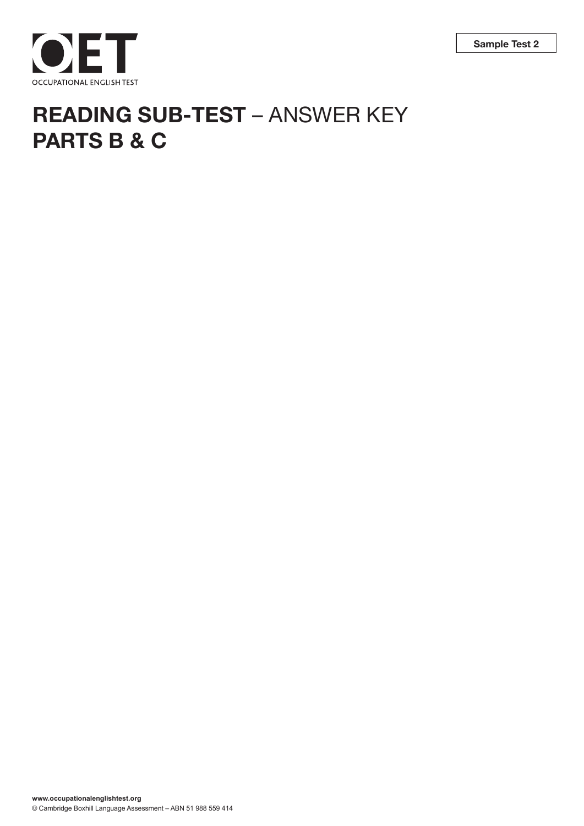



# **READING SUB-TEST** – ANSWER KEY **PARTS B & C**